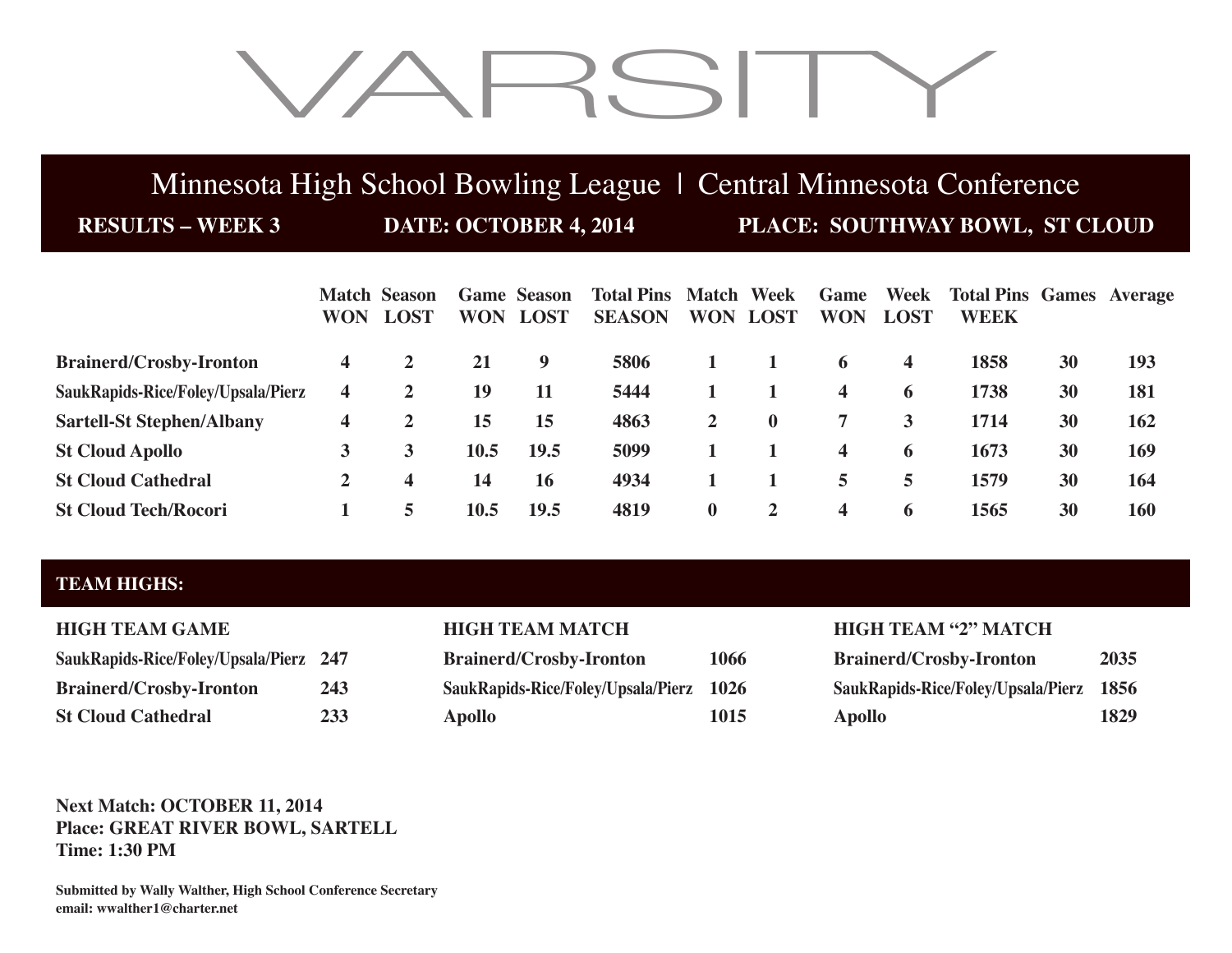# VARSITY

## Minnesota High School Bowling League | Central Minnesota Conference

**RESULTS – WEEK 3 DATE: OCTOBER 4, 2014 PLACE: SOUTHWAY BOWL, ST CLOUD**

|                                    | <b>WON</b> | <b>Match Season</b><br><b>LOST</b> | <b>WON</b>  | <b>Game Season</b><br><b>LOST</b> | <b>Total Pins Match Week</b><br><b>SEASON</b> |                | <b>WON LOST</b> | Game<br><b>WON</b>      | Week<br><b>LOST</b>     | <b>Total Pins Games Average</b><br><b>WEEK</b> |    |     |
|------------------------------------|------------|------------------------------------|-------------|-----------------------------------|-----------------------------------------------|----------------|-----------------|-------------------------|-------------------------|------------------------------------------------|----|-----|
| <b>Brainerd/Crosby-Ironton</b>     | 4          |                                    | 21          | 9                                 | 5806                                          |                |                 | 6                       | $\overline{\mathbf{4}}$ | 1858                                           | 30 | 193 |
| SaukRapids-Rice/Foley/Upsala/Pierz | 4          | 2                                  | 19          | 11                                | 5444                                          |                |                 | $\overline{\mathbf{4}}$ | 6                       | 1738                                           | 30 | 181 |
| <b>Sartell-St Stephen/Albany</b>   | 4          |                                    | 15          | 15                                | 4863                                          | $\overline{2}$ | $\bf{0}$        | 7                       | $\mathbf{3}$            | 1714                                           | 30 | 162 |
| <b>St Cloud Apollo</b>             | 3          |                                    | 10.5        | 19.5                              | 5099                                          |                |                 | $\overline{\mathbf{4}}$ | 6                       | 1673                                           | 30 | 169 |
| <b>St Cloud Cathedral</b>          | 2          | 4                                  | 14          | 16                                | 4934                                          |                |                 | 5                       | 5.                      | 1579                                           | 30 | 164 |
| <b>St Cloud Tech/Rocori</b>        |            | 5                                  | <b>10.5</b> | 19.5                              | 4819                                          | $\bf{0}$       | $\overline{2}$  | $\overline{\mathbf{4}}$ | $\ddot{\mathbf{a}}$     | 1565                                           | 30 | 160 |

## **TEAM HIGHS:**

| SaukRapids-Rice/Foley/Upsala/Pierz 247 |     |
|----------------------------------------|-----|
| <b>Brainerd/Crosby-Ironton</b>         | 243 |
| <b>St Cloud Cathedral</b>              | 233 |

| <b>Brainerd/Crosby-Ironton</b>          | 1066 |
|-----------------------------------------|------|
| SaukRapids-Rice/Foley/Upsala/Pierz 1026 |      |
| <b>Apollo</b>                           | 1015 |

### **HIGH TEAM GAME HIGH TEAM MATCH HIGH TEAM "2" MATCH**

| SaukRapids-Rice/Foley/Upsala/Pierz 247 |     | <b>Brainerd/Crosby-Ironton</b>          | 1066 | <b>Brainerd/Crosby-Ironton</b>          | 2035 |
|----------------------------------------|-----|-----------------------------------------|------|-----------------------------------------|------|
| Brainerd/Crosby-Ironton                | 243 | SaukRapids-Rice/Foley/Upsala/Pierz 1026 |      | SaukRapids-Rice/Foley/Upsala/Pierz 1856 |      |
| <b>St Cloud Cathedral</b>              | 233 | Apollo                                  | 1015 | Apollo                                  | 1829 |

### **Next Match: OCTOBER 11, 2014 Place: GREAT RIVER BOWL, SARTELL Time: 1:30 PM**

**Submitted by Wally Walther, High School Conference Secretary email: wwalther1@charter.net**